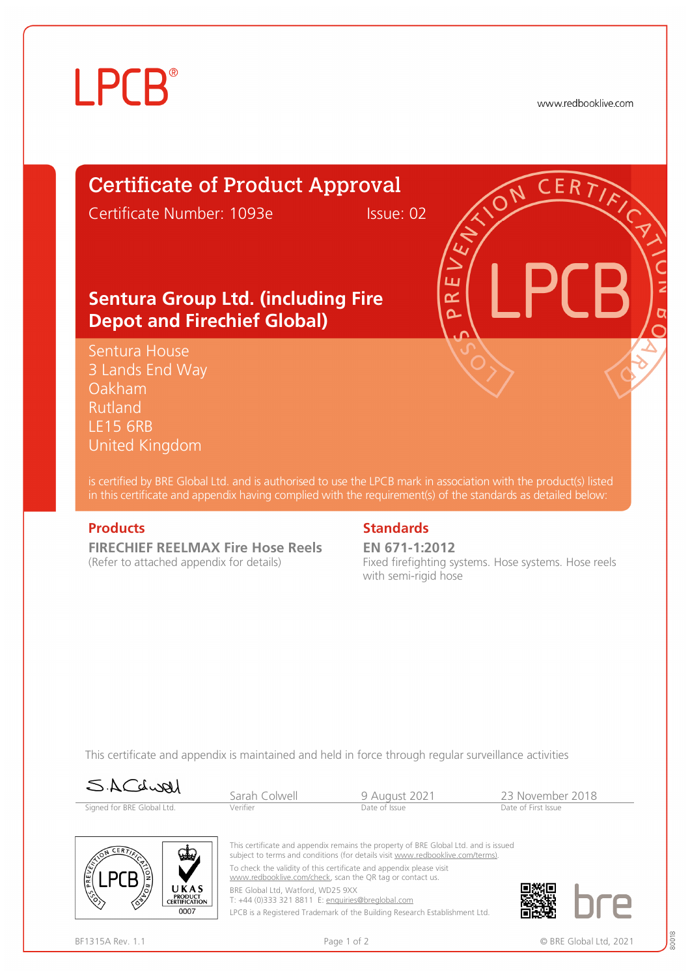## **LPCB**

www.redbooklive.com

### Certificate of Product Approval

Certificate Number: 1093e Issue: 02

ய œ Ò

### **Sentura Group Ltd. (including Fire Depot and Firechief Global)**

Sentura House 3 Lands End Way Oakham Rutland LE15 6RB United Kingdom

is certified by BRE Global Ltd. and is authorised to use the LPCB mark in association with the product(s) listed in this certificate and appendix having complied with the requirement(s) of the standards as detailed below:

**FIRECHIEF REELMAX Fire Hose Reels**  (Refer to attached appendix for details)

#### **Products** Standards **Standards**

**EN 671-1:2012** Fixed firefighting systems. Hose systems. Hose reels with semi-rigid hose

This certificate and appendix is maintained and held in force through regular surveillance activities





This certificate and appendix remains the property of BRE Global Ltd. and is issued subject to terms and conditions (for details visit [www.redbooklive.com/terms\).](http://www.redbooklive.com/terms)) To check the validity of this certificate and appendix please visit [www.redbooklive.com/check,](http://www.redbooklive.com/check) scan the QR tag or contact us.

BRE Global Ltd, Watford, WD25 9XX T: +44 (0)333 321 8811 E: [enquiries@breglobal.com](mailto:enquiries@breglobal.com)

LPCB is a Registered Trademark of the Building Research Establishment Ltd.